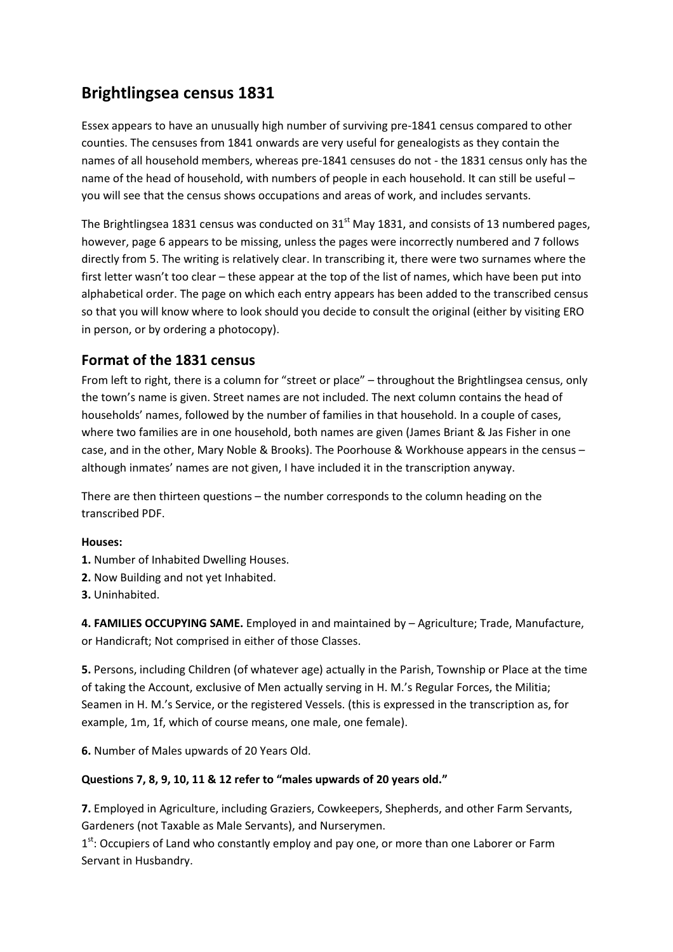## Brightlingsea census 1831

Essex appears to have an unusually high number of surviving pre-1841 census compared to other counties. The censuses from 1841 onwards are very useful for genealogists as they contain the names of all household members, whereas pre-1841 censuses do not - the 1831 census only has the name of the head of household, with numbers of people in each household. It can still be useful you will see that the census shows occupations and areas of work, and includes servants.

The Brightlingsea 1831 census was conducted on  $31<sup>st</sup>$  May 1831, and consists of 13 numbered pages, however, page 6 appears to be missing, unless the pages were incorrectly numbered and 7 follows directly from 5. The writing is relatively clear. In transcribing it, there were two surnames where the first letter wasn't too clear – these appear at the top of the list of names, which have been put into alphabetical order. The page on which each entry appears has been added to the transcribed census so that you will know where to look should you decide to consult the original (either by visiting ERO in person, or by ordering a photocopy).

## Format of the 1831 census

From left to right, there is a column for "street or place" – throughout the Brightlingsea census, only the town's name is given. Street names are not included. The next column contains the head of households' names, followed by the number of families in that household. In a couple of cases, where two families are in one household, both names are given (James Briant & Jas Fisher in one case, and in the other, Mary Noble & Brooks). The Poorhouse & Workhouse appears in the census – although inmates' names are not given, I have included it in the transcription anyway.

There are then thirteen questions – the number corresponds to the column heading on the transcribed PDF.

## Houses:

- 1. Number of Inhabited Dwelling Houses.
- 2. Now Building and not yet Inhabited.
- 3. Uninhabited.

4. FAMILIES OCCUPYING SAME. Employed in and maintained by – Agriculture; Trade, Manufacture, or Handicraft; Not comprised in either of those Classes.

5. Persons, including Children (of whatever age) actually in the Parish, Township or Place at the time of taking the Account, exclusive of Men actually serving in H. M.'s Regular Forces, the Militia; Seamen in H. M.'s Service, or the registered Vessels. (this is expressed in the transcription as, for example, 1m, 1f, which of course means, one male, one female).

6. Number of Males upwards of 20 Years Old.

## Questions 7, 8, 9, 10, 11 & 12 refer to "males upwards of 20 years old."

7. Employed in Agriculture, including Graziers, Cowkeepers, Shepherds, and other Farm Servants, Gardeners (not Taxable as Male Servants), and Nurserymen.

 $1<sup>st</sup>$ : Occupiers of Land who constantly employ and pay one, or more than one Laborer or Farm Servant in Husbandry.